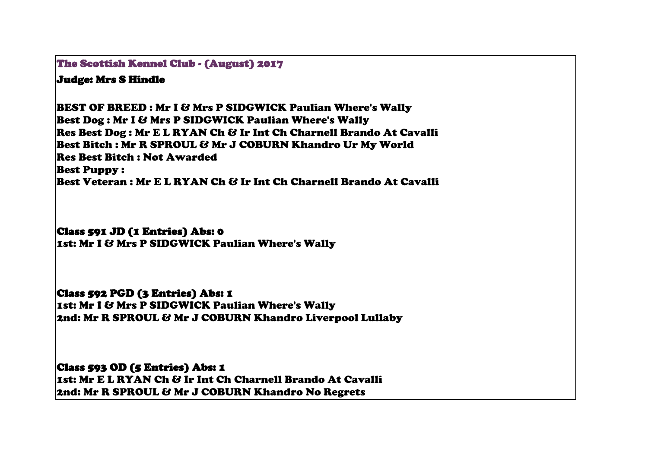The Scottish Kennel Club - (August) 2017

## Judge: Mrs S Hindle

BEST OF BREED : Mr I & Mrs P SIDGWICK Paulian Where's Wally Best Dog : Mr I & Mrs P SIDGWICK Paulian Where's Wally Res Best Dog : Mr E L RYAN Ch & Ir Int Ch Charnell Brando At Cavalli Best Bitch : Mr R SPROUL & Mr J COBURN Khandro Ur My World Res Best Bitch : Not Awarded Best Puppy : Best Veteran : Mr E L RYAN Ch & Ir Int Ch Charnell Brando At Cavalli

## Class 591 JD (1 Entries) Abs: 0

1st: Mr I & Mrs P SIDGWICK Paulian Where's Wally

## Class 592 PGD (3 Entries) Abs: 1

1st: Mr I & Mrs P SIDGWICK Paulian Where's Wally 2nd: Mr R SPROUL & Mr J COBURN Khandro Liverpool Lullaby

Class 593 OD (5 Entries) Abs: 1 1st: Mr E L RYAN Ch & Ir Int Ch Charnell Brando At Cavalli 2nd: Mr R SPROUL & Mr J COBURN Khandro No Regrets